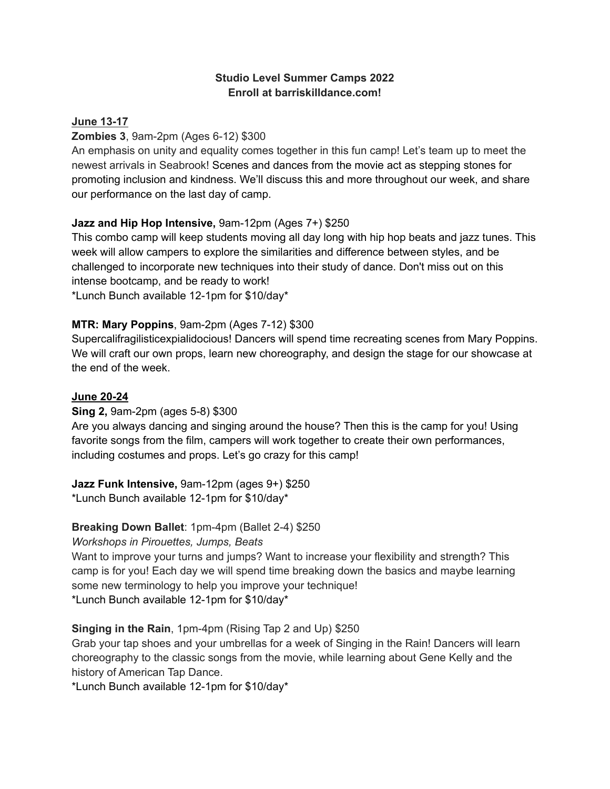## **Studio Level Summer Camps 2022 Enroll at barriskilldance.com!**

## **June 13-17**

## **Zombies 3**, 9am-2pm (Ages 6-12) \$300

An emphasis on unity and equality comes together in this fun camp! Let's team up to meet the newest arrivals in Seabrook! Scenes and dances from the movie act as stepping stones for promoting inclusion and kindness. We'll discuss this and more throughout our week, and share our performance on the last day of camp.

## **Jazz and Hip Hop Intensive,** 9am-12pm (Ages 7+) \$250

This combo camp will keep students moving all day long with hip hop beats and jazz tunes. This week will allow campers to explore the similarities and difference between styles, and be challenged to incorporate new techniques into their study of dance. Don't miss out on this intense bootcamp, and be ready to work! \*Lunch Bunch available 12-1pm for \$10/day\*

# **MTR: Mary Poppins**, 9am-2pm (Ages 7-12) \$300

Supercalifragilisticexpialidocious! Dancers will spend time recreating scenes from Mary Poppins. We will craft our own props, learn new choreography, and design the stage for our showcase at the end of the week.

### **June 20-24**

### **Sing 2,** 9am-2pm (ages 5-8) \$300

Are you always dancing and singing around the house? Then this is the camp for you! Using favorite songs from the film, campers will work together to create their own performances, including costumes and props. Let's go crazy for this camp!

### **Jazz Funk Intensive,** 9am-12pm (ages 9+) \$250

\*Lunch Bunch available 12-1pm for \$10/day\*

# **Breaking Down Ballet**: 1pm-4pm (Ballet 2-4) \$250

*Workshops in Pirouettes, Jumps, Beats*

Want to improve your turns and jumps? Want to increase your flexibility and strength? This camp is for you! Each day we will spend time breaking down the basics and maybe learning some new terminology to help you improve your technique! \*Lunch Bunch available 12-1pm for \$10/day\*

# **Singing in the Rain**, 1pm-4pm (Rising Tap 2 and Up) \$250

Grab your tap shoes and your umbrellas for a week of Singing in the Rain! Dancers will learn choreography to the classic songs from the movie, while learning about Gene Kelly and the history of American Tap Dance.

\*Lunch Bunch available 12-1pm for \$10/day\*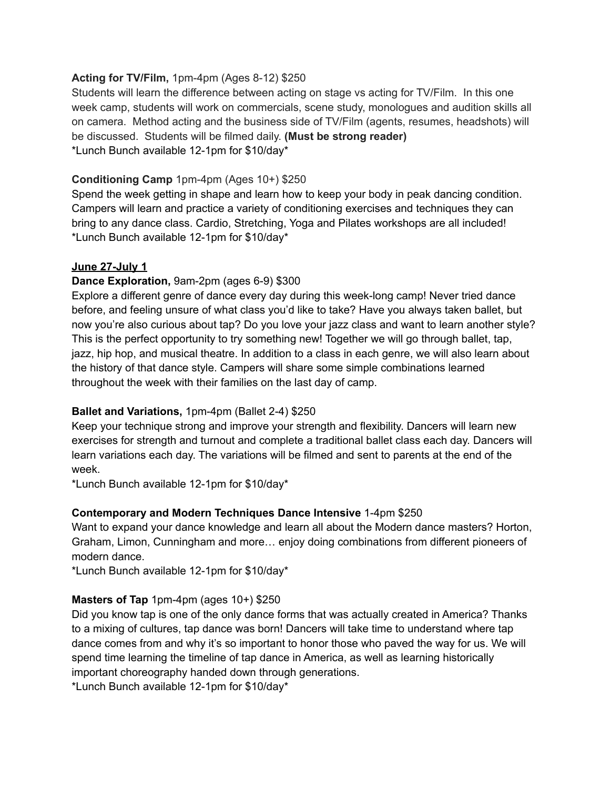### **Acting for TV/Film,** 1pm-4pm (Ages 8-12) \$250

Students will learn the difference between acting on stage vs acting for TV/Film. In this one week camp, students will work on commercials, scene study, monologues and audition skills all on camera. Method acting and the business side of TV/Film (agents, resumes, headshots) will be discussed. Students will be filmed daily. **(Must be strong reader)** \*Lunch Bunch available 12-1pm for \$10/day\*

# **Conditioning Camp** 1pm-4pm (Ages 10+) \$250

Spend the week getting in shape and learn how to keep your body in peak dancing condition. Campers will learn and practice a variety of conditioning exercises and techniques they can bring to any dance class. Cardio, Stretching, Yoga and Pilates workshops are all included! \*Lunch Bunch available 12-1pm for \$10/day\*

### **June 27-July 1**

## **Dance Exploration,** 9am-2pm (ages 6-9) \$300

Explore a different genre of dance every day during this week-long camp! Never tried dance before, and feeling unsure of what class you'd like to take? Have you always taken ballet, but now you're also curious about tap? Do you love your jazz class and want to learn another style? This is the perfect opportunity to try something new! Together we will go through ballet, tap, jazz, hip hop, and musical theatre. In addition to a class in each genre, we will also learn about the history of that dance style. Campers will share some simple combinations learned throughout the week with their families on the last day of camp.

### **Ballet and Variations,** 1pm-4pm (Ballet 2-4) \$250

Keep your technique strong and improve your strength and flexibility. Dancers will learn new exercises for strength and turnout and complete a traditional ballet class each day. Dancers will learn variations each day. The variations will be filmed and sent to parents at the end of the week.

\*Lunch Bunch available 12-1pm for \$10/day\*

### **Contemporary and Modern Techniques Dance Intensive** 1-4pm \$250

Want to expand your dance knowledge and learn all about the Modern dance masters? Horton, Graham, Limon, Cunningham and more… enjoy doing combinations from different pioneers of modern dance.

\*Lunch Bunch available 12-1pm for \$10/day\*

### **Masters of Tap** 1pm-4pm (ages 10+) \$250

Did you know tap is one of the only dance forms that was actually created in America? Thanks to a mixing of cultures, tap dance was born! Dancers will take time to understand where tap dance comes from and why it's so important to honor those who paved the way for us. We will spend time learning the timeline of tap dance in America, as well as learning historically important choreography handed down through generations.

\*Lunch Bunch available 12-1pm for \$10/day\*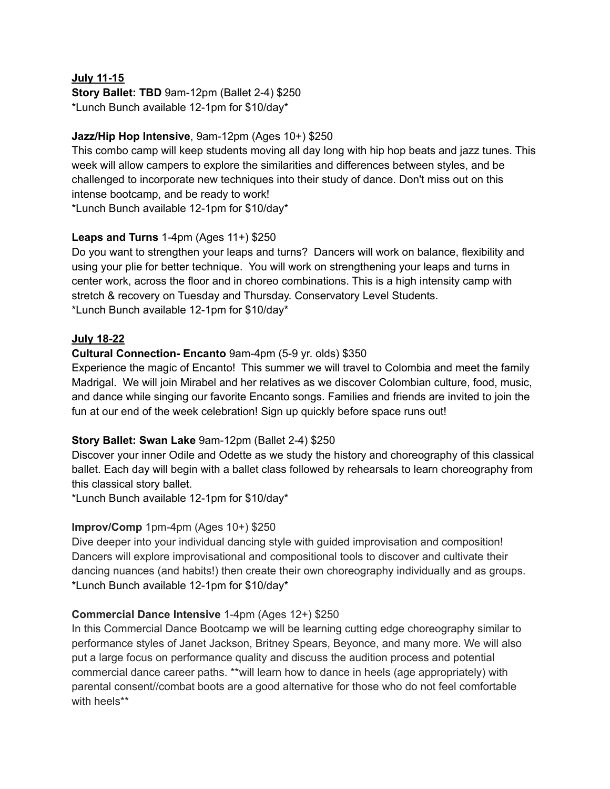#### **July 11-15**

**Story Ballet: TBD** 9am-12pm (Ballet 2-4) \$250 \*Lunch Bunch available 12-1pm for \$10/day\*

# **Jazz/Hip Hop Intensive**, 9am-12pm (Ages 10+) \$250

This combo camp will keep students moving all day long with hip hop beats and jazz tunes. This week will allow campers to explore the similarities and differences between styles, and be challenged to incorporate new techniques into their study of dance. Don't miss out on this intense bootcamp, and be ready to work!

\*Lunch Bunch available 12-1pm for \$10/day\*

### **Leaps and Turns** 1-4pm (Ages 11+) \$250

Do you want to strengthen your leaps and turns? Dancers will work on balance, flexibility and using your plie for better technique. You will work on strengthening your leaps and turns in center work, across the floor and in choreo combinations. This is a high intensity camp with stretch & recovery on Tuesday and Thursday. Conservatory Level Students. \*Lunch Bunch available 12-1pm for \$10/day\*

## **July 18-22**

# **Cultural Connection- Encanto** 9am-4pm (5-9 yr. olds) \$350

Experience the magic of Encanto! This summer we will travel to Colombia and meet the family Madrigal. We will join Mirabel and her relatives as we discover Colombian culture, food, music, and dance while singing our favorite Encanto songs. Families and friends are invited to join the fun at our end of the week celebration! Sign up quickly before space runs out!

### **Story Ballet: Swan Lake** 9am-12pm (Ballet 2-4) \$250

Discover your inner Odile and Odette as we study the history and choreography of this classical ballet. Each day will begin with a ballet class followed by rehearsals to learn choreography from this classical story ballet.

\*Lunch Bunch available 12-1pm for \$10/day\*

# **Improv/Comp** 1pm-4pm (Ages 10+) \$250

Dive deeper into your individual dancing style with guided improvisation and composition! Dancers will explore improvisational and compositional tools to discover and cultivate their dancing nuances (and habits!) then create their own choreography individually and as groups. \*Lunch Bunch available 12-1pm for \$10/day\*

### **Commercial Dance Intensive** 1-4pm (Ages 12+) \$250

In this Commercial Dance Bootcamp we will be learning cutting edge choreography similar to performance styles of Janet Jackson, Britney Spears, Beyonce, and many more. We will also put a large focus on performance quality and discuss the audition process and potential commercial dance career paths. \*\*will learn how to dance in heels (age appropriately) with parental consent//combat boots are a good alternative for those who do not feel comfortable with heels\*\*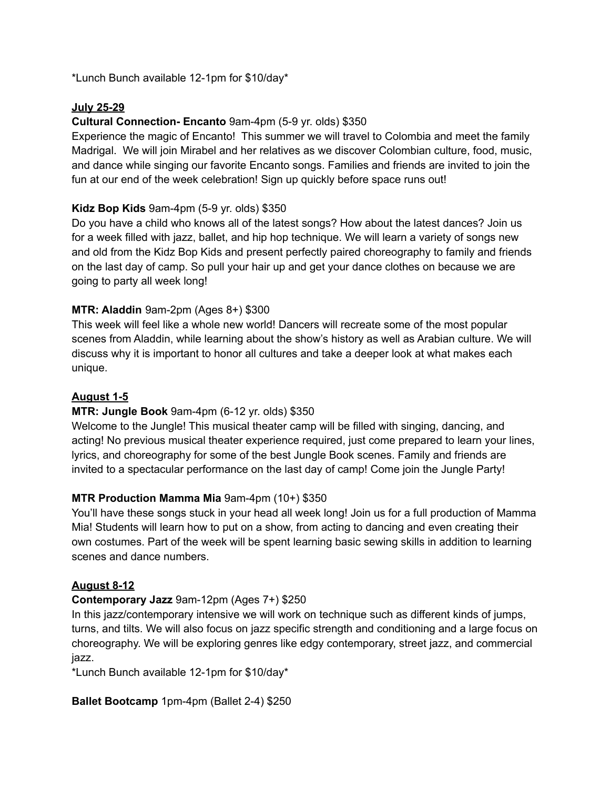\*Lunch Bunch available 12-1pm for \$10/day\*

# **July 25-29**

# **Cultural Connection- Encanto** 9am-4pm (5-9 yr. olds) \$350

Experience the magic of Encanto! This summer we will travel to Colombia and meet the family Madrigal. We will join Mirabel and her relatives as we discover Colombian culture, food, music, and dance while singing our favorite Encanto songs. Families and friends are invited to join the fun at our end of the week celebration! Sign up quickly before space runs out!

# **Kidz Bop Kids** 9am-4pm (5-9 yr. olds) \$350

Do you have a child who knows all of the latest songs? How about the latest dances? Join us for a week filled with jazz, ballet, and hip hop technique. We will learn a variety of songs new and old from the Kidz Bop Kids and present perfectly paired choreography to family and friends on the last day of camp. So pull your hair up and get your dance clothes on because we are going to party all week long!

## **MTR: Aladdin** 9am-2pm (Ages 8+) \$300

This week will feel like a whole new world! Dancers will recreate some of the most popular scenes from Aladdin, while learning about the show's history as well as Arabian culture. We will discuss why it is important to honor all cultures and take a deeper look at what makes each unique.

### **August 1-5**

### **MTR: Jungle Book** 9am-4pm (6-12 yr. olds) \$350

Welcome to the Jungle! This musical theater camp will be filled with singing, dancing, and acting! No previous musical theater experience required, just come prepared to learn your lines, lyrics, and choreography for some of the best Jungle Book scenes. Family and friends are invited to a spectacular performance on the last day of camp! Come join the Jungle Party!

### **MTR Production Mamma Mia** 9am-4pm (10+) \$350

You'll have these songs stuck in your head all week long! Join us for a full production of Mamma Mia! Students will learn how to put on a show, from acting to dancing and even creating their own costumes. Part of the week will be spent learning basic sewing skills in addition to learning scenes and dance numbers.

### **August 8-12**

### **Contemporary Jazz** 9am-12pm (Ages 7+) \$250

In this jazz/contemporary intensive we will work on technique such as different kinds of jumps, turns, and tilts. We will also focus on jazz specific strength and conditioning and a large focus on choreography. We will be exploring genres like edgy contemporary, street jazz, and commercial jazz.

\*Lunch Bunch available 12-1pm for \$10/day\*

**Ballet Bootcamp** 1pm-4pm (Ballet 2-4) \$250